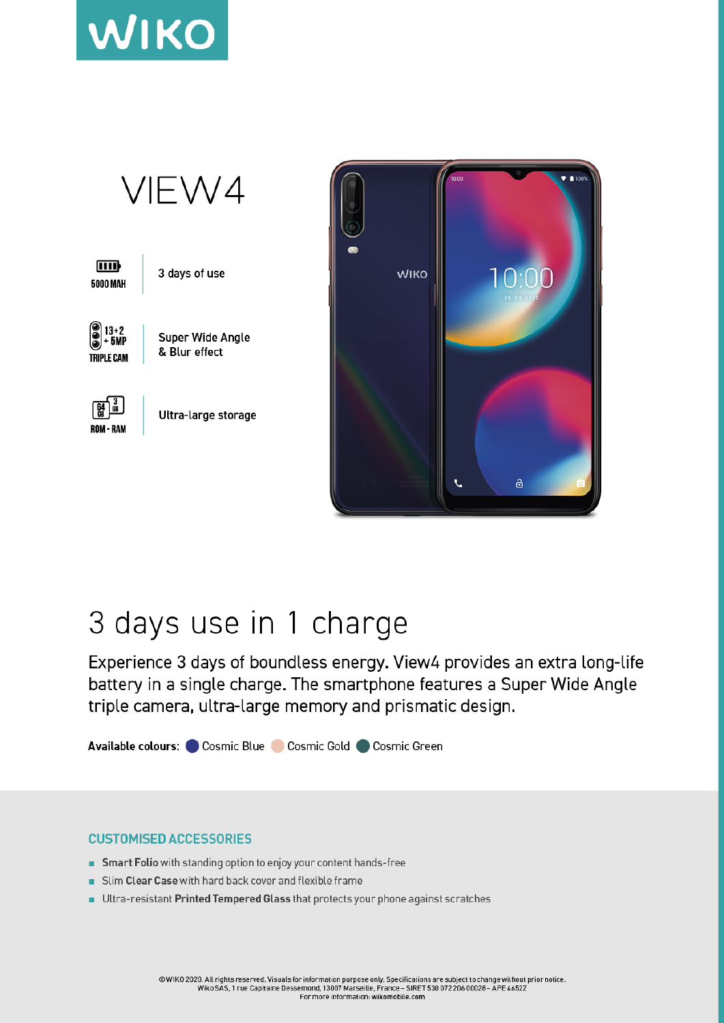



## 3 days use in 1 charge

Experience 3 days of boundless energy. View4 provides an extra long-life battery in a single charge. The smartphone features a Super Wide Angle triple camera, ultra-large memory and prismatic design.

Available colours: Cosmic Blue Cosmic Gold Cosmic Green

## **CUSTOMISED ACCESSORIES**

- Smart Folio with standing option to enjoy your content hands-free
- Slim Clear Case with hard back cover and flexible frame ٠
- Ultra-resistant Printed Tempered Glass that protects your phone against scratches